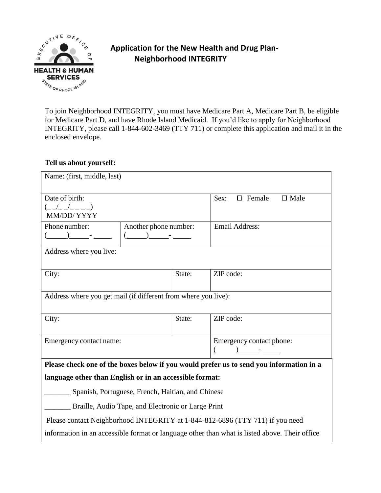

# **Application for the New Health and Drug Plan- Neighborhood INTEGRITY**

To join Neighborhood INTEGRITY, you must have Medicare Part A, Medicare Part B, be eligible for Medicare Part D, and have Rhode Island Medicaid. If you'd like to apply for Neighborhood INTEGRITY, please call 1-844-602-3469 (TTY 711) or complete this application and mail it in the enclosed envelope.

### **Tell us about yourself:**

| Name: (first, middle, last)                                                                                         |                       |        |                                         |  |
|---------------------------------------------------------------------------------------------------------------------|-----------------------|--------|-----------------------------------------|--|
| Date of birth:<br>$\frac{1}{2}$ $\frac{1}{2}$ $\frac{1}{2}$ $\frac{1}{2}$ $\frac{1}{2}$ $\frac{1}{2}$<br>MM/DD/YYYY |                       |        | $\Box$ Female<br>$\square$ Male<br>Sex: |  |
| Phone number:                                                                                                       | Another phone number: |        | Email Address:                          |  |
| Address where you live:                                                                                             |                       |        |                                         |  |
| City:                                                                                                               |                       | State: | ZIP code:                               |  |
| Address where you get mail (if different from where you live):                                                      |                       |        |                                         |  |
| City:                                                                                                               |                       | State: | ZIP code:                               |  |
| Emergency contact name:                                                                                             |                       |        | Emergency contact phone:                |  |
| Please check one of the boxes below if you would prefer us to send you information in a                             |                       |        |                                         |  |
| language other than English or in an accessible format:                                                             |                       |        |                                         |  |
| Spanish, Portuguese, French, Haitian, and Chinese                                                                   |                       |        |                                         |  |
| Braille, Audio Tape, and Electronic or Large Print                                                                  |                       |        |                                         |  |
| Please contact Neighborhood INTEGRITY at 1-844-812-6896 (TTY 711) if you need                                       |                       |        |                                         |  |
| information in an accessible format or language other than what is listed above. Their office                       |                       |        |                                         |  |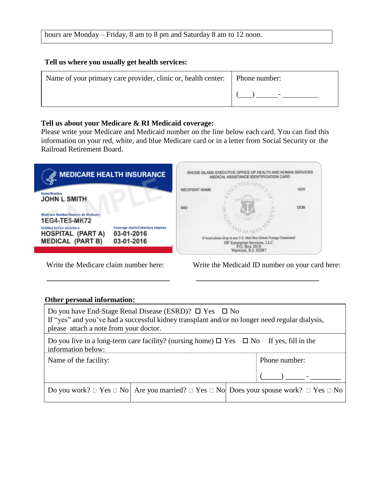## **Tell us where you usually get health services:**

| Name of your primary care provider, clinic or, health center:   Phone number: |  |
|-------------------------------------------------------------------------------|--|
|                                                                               |  |

### **Tell us about your Medicare & RI Medicaid coverage:**

Please write your Medicare and Medicaid number on the line below each card. You can find this information on your red, white, and blue Medicare card or in a letter from Social Security or the Railroad Retirement Board.

| <b>MEDICARE HEALTH INSURANCE</b>                                                | RHODE ISLAND EXECUTIVE OFFICE OF HEALTH AND HUMAN SERVICES<br>MEDICAL ASSISTANCE IDENTIFICATION CARD                                       |
|---------------------------------------------------------------------------------|--------------------------------------------------------------------------------------------------------------------------------------------|
| Name/Nombre                                                                     | <b>VER</b><br><b>RECIPIENT NAME</b>                                                                                                        |
| <b>JOHN L SMITH</b><br>Medicare Number/Número de Medicare                       | Φ<br><b>DOB</b><br><b>MID</b><br>H                                                                                                         |
| 1EG4-TE5-MK72<br>Coverage starts/Cobertura empieza<br>Entitled to/Con derecho a |                                                                                                                                            |
| 03-01-2016<br><b>HOSPITAL (PART A)</b><br><b>MEDICAL (PART B)</b><br>03-01-2016 | If found please drop in any U.S. Mail Box Return Postage Guaranteed<br>HP Enterprise Services, LLC<br>P.O. Box 2010<br>Warwick, R.I. 02887 |

 **\_\_\_\_\_\_\_\_\_\_\_\_\_\_\_\_\_\_\_\_\_\_\_\_\_\_\_\_\_\_\_\_\_ \_\_\_\_\_\_\_\_\_\_\_\_\_\_\_\_\_\_\_\_\_\_\_\_\_\_\_\_\_\_\_\_\_** 

#### Write the Medicare claim number here: Write the Medicaid ID number on your card here:

#### **Other personal information:**

| Do you have End-Stage Renal Disease (ESRD)? $\Box$ Yes $\Box$ No<br>If "yes" and you've had a successful kidney transplant and/or no longer need regular dialysis,<br>please attach a note from your doctor. |  |                                                                                                                         |  |
|--------------------------------------------------------------------------------------------------------------------------------------------------------------------------------------------------------------|--|-------------------------------------------------------------------------------------------------------------------------|--|
| Do you live in a long-term care facility? (nursing home) $\Box$ Yes $\Box$ No If yes, fill in the<br>information below:                                                                                      |  |                                                                                                                         |  |
| Name of the facility:                                                                                                                                                                                        |  | Phone number:                                                                                                           |  |
|                                                                                                                                                                                                              |  |                                                                                                                         |  |
|                                                                                                                                                                                                              |  | Do you work? $\Box$ Yes $\Box$ No   Are you married? $\Box$ Yes $\Box$ No   Does your spouse work? $\Box$ Yes $\Box$ No |  |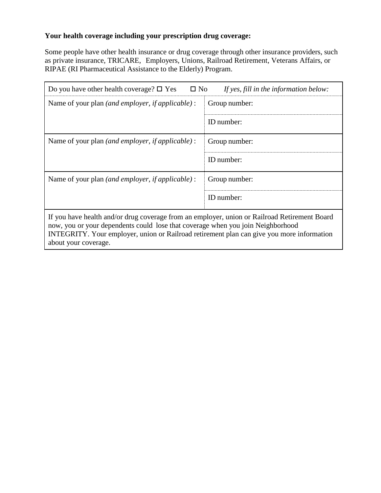# **Your health coverage including your prescription drug coverage:**

Some people have other health insurance or drug coverage through other insurance providers, such as private insurance, TRICARE, Employers, Unions, Railroad Retirement, Veterans Affairs, or RIPAE (RI Pharmaceutical Assistance to the Elderly) Program.

| $\square$ No<br>Do you have other health coverage? $\square$ Yes<br>If yes, fill in the information below:                                                                                                                                                                   |               |  |  |  |
|------------------------------------------------------------------------------------------------------------------------------------------------------------------------------------------------------------------------------------------------------------------------------|---------------|--|--|--|
| Name of your plan <i>(and employer, if applicable)</i> :                                                                                                                                                                                                                     | Group number: |  |  |  |
|                                                                                                                                                                                                                                                                              | ID number:    |  |  |  |
| Name of your plan <i>(and employer, if applicable)</i> :                                                                                                                                                                                                                     | Group number: |  |  |  |
|                                                                                                                                                                                                                                                                              | ID number:    |  |  |  |
| Name of your plan <i>(and employer, if applicable)</i> :                                                                                                                                                                                                                     | Group number: |  |  |  |
|                                                                                                                                                                                                                                                                              | ID number:    |  |  |  |
| If you have health and/or drug coverage from an employer, union or Railroad Retirement Board<br>now, you or your dependents could lose that coverage when you join Neighborhood<br>INTEGRITY. Your employer, union or Railroad retirement plan can give you more information |               |  |  |  |

about your coverage.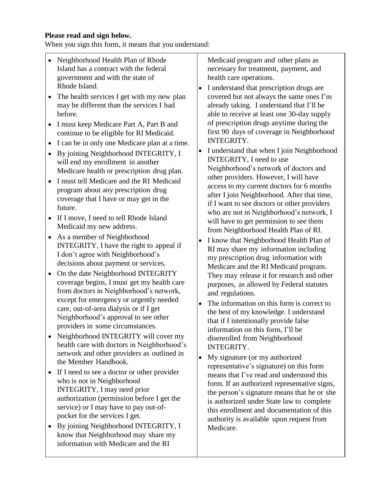### **Please read and sign below.**

When you sign this form, it means that you understand:

- Neighborhood Health Plan of Rhode Island has a contract with the federal government and with the state of Rhode Island.
- The health services I get with my new plan may be different than the services I had before.
- I must keep Medicare Part A, Part B and continue to be eligible for RI Medicaid.
- I can be in only one Medicare plan at a time.
- By joining Neighborhood INTEGRITY, I will end my enrollment in another Medicare health or prescription drug plan.
- I must tell Medicare and the RI Medicaid program about any prescription drug coverage that I have or may get in the future.
- If I move, I need to tell Rhode Island Medicaid my new address.
- As a member of Neighborhood INTEGRITY, I have the right to appeal if I don't agree with Neighborhood's decisions about payment or services.
- On the date Neighborhood INTEGRITY coverage begins, I must get my health care from doctors in Neighborhood's network, except for emergency or urgently needed care, out-of-area dialysis or if I get Neighborhood's approval to see other providers in some circumstances.
- Neighborhood INTEGRITY will cover my health care with doctors in Neighborhood's network and other providers as outlined in the Member Handbook.
- If I need to see a doctor or other provider who is not in Neighborhood INTEGRITY, I may need prior authorization (permission before I get the service) or I may have to pay out-ofpocket for the services I get*.*
- By joining Neighborhood INTEGRITY, I know that Neighborhood may share my information with Medicare and the RI

Medicaid program and other plans as necessary for treatment, payment, and health care operations.

- I understand that prescription drugs are covered but not always the same ones I'm already taking. I understand that I'll be able to receive at least one 30-day supply of prescription drugs anytime during the first 90 days of coverage in Neighborhood INTEGRITY.
- I understand that when I join Neighborhood INTEGRITY, I need to use Neighborhood's network of doctors and other providers. However, I will have access to my current doctors for 6 months after I join Neighborhood. After that time, if I want to see doctors or other providers who are not in Neighborhood's network, I will have to get permission to see them from Neighborhood Health Plan of RI.
- I know that Neighborhood Health Plan of RI may share my information including my prescription drug information with Medicare and the RI Medicaid program. They may release it for research and other purposes, as allowed by Federal statutes and regulations.
- The information on this form is correct to the best of my knowledge. I understand that if I intentionally provide false information on this form, I'll be disenrolled from Neighborhood INTEGRITY.
- My signature (or my authorized representative's signature) on this form means that I've read and understood this form. If an authorized representative signs, the person's signature means that he or she is authorized under State law to complete this enrollment and documentation of this authority is available upon request from Medicare.